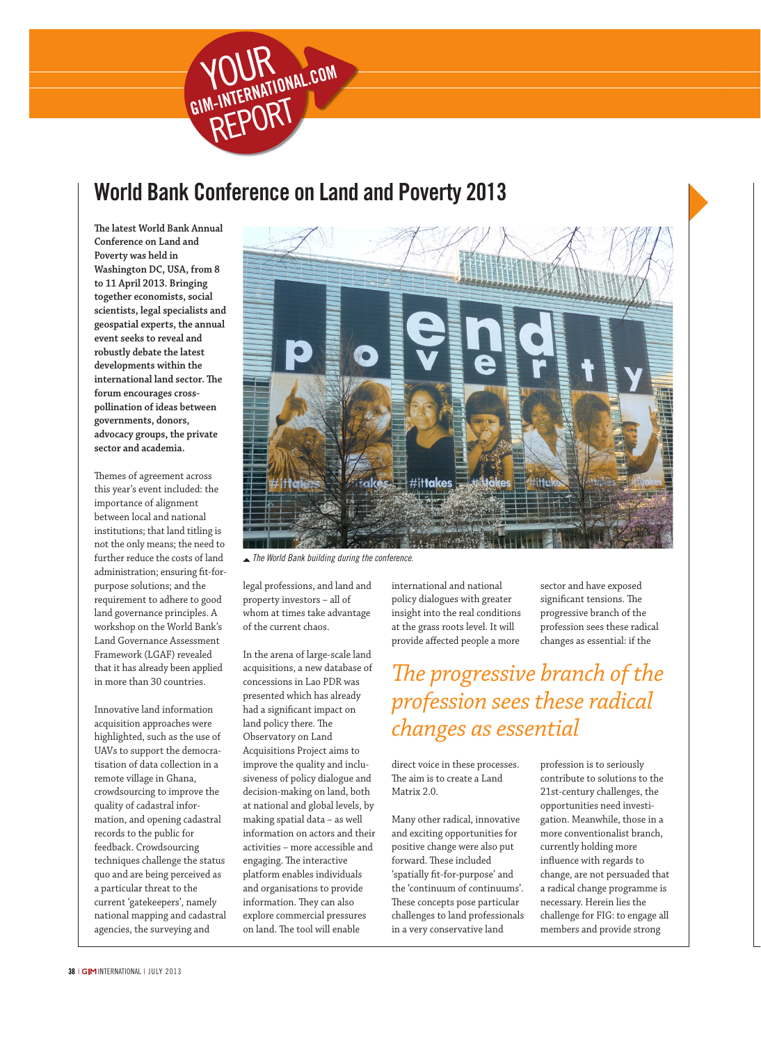

## World Bank Conference on Land and Poverty 2013

**The latest World Bank Annual Conference on Land and Poverty was held in Washington DC, USA, from 8 to 11 April 2013. Bringing together economists, social scientists, legal specialists and geospatial experts, the annual event seeks to reveal and robustly debate the latest developments within the international land sector. The forum encourages crosspollination of ideas between governments, donors, advocacy groups, the private sector and academia.**

Themes of agreement across this year's event included: the importance of alignment between local and national institutions; that land titling is not the only means; the need to further reduce the costs of land administration; ensuring fit-forpurpose solutions; and the requirement to adhere to good land governance principles. A workshop on the World Bank's Land Governance Assessment Framework (LGAF) revealed that it has already been applied in more than 30 countries.

Innovative land information acquisition approaches were highlighted, such as the use of UAVs to support the democratisation of data collection in a remote village in Ghana, crowdsourcing to improve the quality of cadastral information, and opening cadastral records to the public for feedback. Crowdsourcing techniques challenge the status quo and are being perceived as a particular threat to the current 'gatekeepers', namely national mapping and cadastral agencies, the surveying and



 *The World Bank building during the conference.*

legal professions, and land and property investors – all of whom at times take advantage of the current chaos.

In the arena of large-scale land acquisitions, a new database of concessions in Lao PDR was presented which has already had a significant impact on land policy there. The Observatory on Land Acquisitions Project aims to improve the quality and inclusiveness of policy dialogue and decision-making on land, both at national and global levels, by making spatial data – as well information on actors and their activities – more accessible and engaging. The interactive platform enables individuals and organisations to provide information. They can also explore commercial pressures on land. The tool will enable

international and national policy dialogues with greater insight into the real conditions at the grass roots level. It will provide affected people a more

sector and have exposed significant tensions. The progressive branch of the profession sees these radical changes as essential: if the

*The progressive branch of the profession sees these radical changes as essential*

direct voice in these processes. The aim is to create a Land Matrix 2.0.

Many other radical, innovative and exciting opportunities for positive change were also put forward. These included 'spatially fit-for-purpose' and the 'continuum of continuums'. These concepts pose particular challenges to land professionals in a very conservative land

profession is to seriously contribute to solutions to the 21st-century challenges, the opportunities need investigation. Meanwhile, those in a more conventionalist branch, currently holding more influence with regards to change, are not persuaded that a radical change programme is necessary. Herein lies the challenge for FIG: to engage all members and provide strong